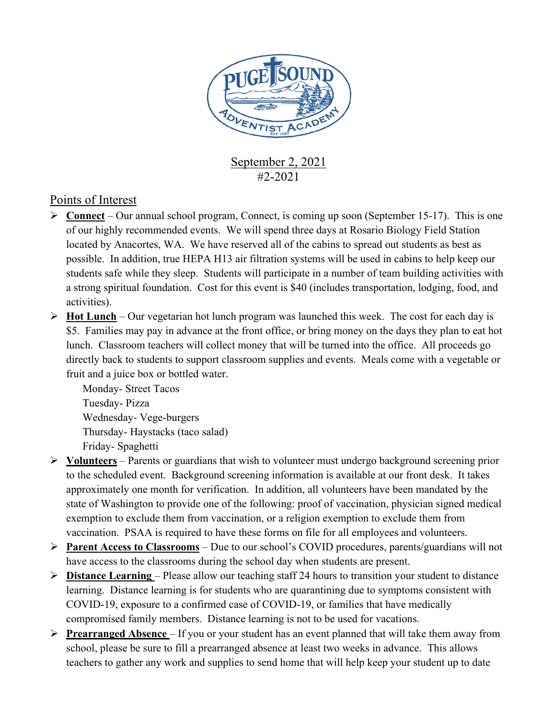

September 2, 2021 #2-2021

## Points of Interest

- $\triangleright$  **Connect** Our annual school program, Connect, is coming up soon (September 15-17). This is one of our highly recommended events. We will spend three days at Rosario Biology Field Station located by Anacortes, WA. We have reserved all of the cabins to spread out students as best as possible. In addition, true HEPA H13 air filtration systems will be used in cabins to help keep our students safe while they sleep. Students will participate in a number of team building activities with a strong spiritual foundation. Cost for this event is \$40 (includes transportation, lodging, food, and activities).
- Ø **Hot Lunch** Our vegetarian hot lunch program was launched this week. The cost for each day is \$5. Families may pay in advance at the front office, or bring money on the days they plan to eat hot lunch. Classroom teachers will collect money that will be turned into the office. All proceeds go directly back to students to support classroom supplies and events. Meals come with a vegetable or fruit and a juice box or bottled water.

Monday- Street Tacos Tuesday- Pizza Wednesday- Vege-burgers Thursday- Haystacks (taco salad) Friday- Spaghetti

- Ø **Volunteers** Parents or guardians that wish to volunteer must undergo background screening prior to the scheduled event. Background screening information is available at our front desk. It takes approximately one month for verification. In addition, all volunteers have been mandated by the state of Washington to provide one of the following: proof of vaccination, physician signed medical exemption to exclude them from vaccination, or a religion exemption to exclude them from vaccination. PSAA is required to have these forms on file for all employees and volunteers.
- Ø **Parent Access to Classrooms** Due to our school's COVID procedures, parents/guardians will not have access to the classrooms during the school day when students are present.
- Ø **Distance Learning**  Please allow our teaching staff 24 hours to transition your student to distance learning. Distance learning is for students who are quarantining due to symptoms consistent with COVID-19, exposure to a confirmed case of COVID-19, or families that have medically compromised family members. Distance learning is not to be used for vacations.
- Ø **Prearranged Absence**  If you or your student has an event planned that will take them away from school, please be sure to fill a prearranged absence at least two weeks in advance. This allows teachers to gather any work and supplies to send home that will help keep your student up to date